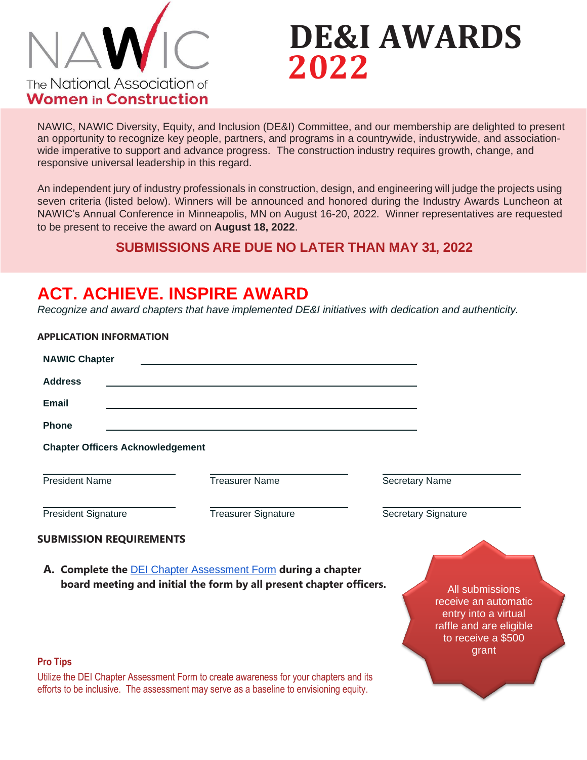

**APPLICATION INFORMATION**

# **DE&I AWARDS 2022**

NAWIC, NAWIC Diversity, Equity, and Inclusion (DE&I) Committee, and our membership are delighted to present an opportunity to recognize key people, partners, and programs in a countrywide, industrywide, and associationwide imperative to support and advance progress. The construction industry requires growth, change, and responsive universal leadership in this regard.

An independent jury of industry professionals in construction, design, and engineering will judge the projects using seven criteria (listed below). Winners will be announced and honored during the Industry Awards Luncheon at NAWIC's Annual Conference in Minneapolis, MN on August 16-20, 2022. Winner representatives are requested to be present to receive the award on **August 18, 2022**.

#### **SUBMISSIONS ARE DUE NO LATER THAN MAY 31, 2022**

### **ACT. ACHIEVE. INSPIRE AWARD**

*Recognize and award chapters that have implemented DE&I initiatives with dedication and authenticity.*

| APPLICATION INFOKMATION                 |                                                                                                                                                                                 |                                                                                                                           |
|-----------------------------------------|---------------------------------------------------------------------------------------------------------------------------------------------------------------------------------|---------------------------------------------------------------------------------------------------------------------------|
| <b>NAWIC Chapter</b>                    |                                                                                                                                                                                 |                                                                                                                           |
| <b>Address</b>                          |                                                                                                                                                                                 |                                                                                                                           |
| Email                                   |                                                                                                                                                                                 |                                                                                                                           |
| <b>Phone</b>                            |                                                                                                                                                                                 |                                                                                                                           |
| <b>Chapter Officers Acknowledgement</b> |                                                                                                                                                                                 |                                                                                                                           |
| <b>President Name</b>                   | <b>Treasurer Name</b>                                                                                                                                                           | <b>Secretary Name</b>                                                                                                     |
| <b>President Signature</b>              | <b>Treasurer Signature</b>                                                                                                                                                      | <b>Secretary Signature</b>                                                                                                |
| <b>SUBMISSION REQUIREMENTS</b>          |                                                                                                                                                                                 |                                                                                                                           |
|                                         | A. Complete the <b>DEI Chapter Assessment Form</b> during a chapter<br>board meeting and initial the form by all present chapter officers.                                      | All submissions<br>receive an automatic<br>entry into a virtual<br>raffle and are eligible<br>to receive a \$500<br>grant |
| <b>Pro Tips</b>                         |                                                                                                                                                                                 |                                                                                                                           |
|                                         | Utilize the DEI Chapter Assessment Form to create awareness for your chapters and its<br>efforts to be inclusive. The assessment may serve as a baseline to envisioning equity. |                                                                                                                           |